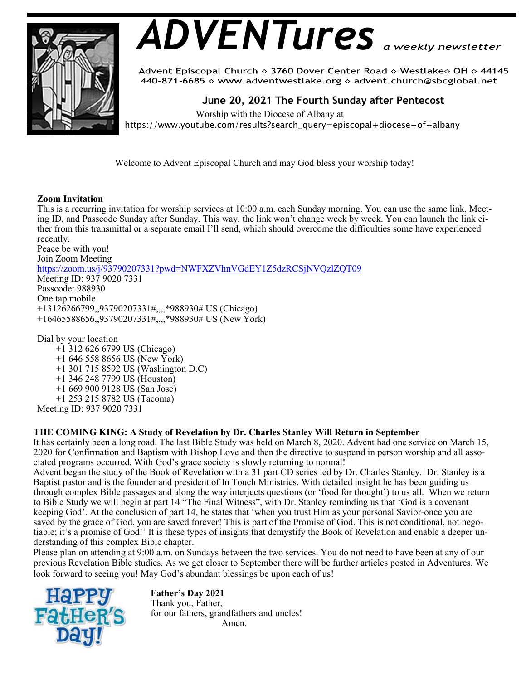

# *ADVENTures*

Advent Episcopal Church ◇ 3760 Dover Center Road ◇ Westlake◇ OH ◇ 44145 440-871-6685 ◇ www.adventwestlake.org ◇ advent.church@sbcglobal.net

 **June 20, 2021 The Fourth Sunday after Pentecost** 

Worship with the Diocese of Albany at

https://www.youtube.com/results?search\_query=episcopal+diocese+of+albany

Welcome to Advent Episcopal Church and may God bless your worship today!

# **Zoom Invitation**

This is a recurring invitation for worship services at 10:00 a.m. each Sunday morning. You can use the same link, Meeting ID, and Passcode Sunday after Sunday. This way, the link won't change week by week. You can launch the link either from this transmittal or a separate email I'll send, which should overcome the difficulties some have experienced recently.

Peace be with you! Join Zoom Meeting https://zoom.us/j/93790207331?pwd=NWFXZVhnVGdEY1Z5dzRCSjNVQzlZQT09 Meeting ID: 937 9020 7331 Passcode: 988930 One tap mobile +13126266799,,93790207331#,,,,\*988930# US (Chicago) +16465588656,,93790207331#,,,,\*988930# US (New York)

Dial by your location +1 312 626 6799 US (Chicago) +1 646 558 8656 US (New York) +1 301 715 8592 US (Washington D.C) +1 346 248 7799 US (Houston) +1 669 900 9128 US (San Jose) +1 253 215 8782 US (Tacoma) Meeting ID: 937 9020 7331

## **THE COMING KING: A Study of Revelation by Dr. Charles Stanley Will Return in September**

It has certainly been a long road. The last Bible Study was held on March 8, 2020. Advent had one service on March 15, 2020 for Confirmation and Baptism with Bishop Love and then the directive to suspend in person worship and all associated programs occurred. With God's grace society is slowly returning to normal!

Advent began the study of the Book of Revelation with a 31 part CD series led by Dr. Charles Stanley. Dr. Stanley is a Baptist pastor and is the founder and president of In Touch Ministries. With detailed insight he has been guiding us through complex Bible passages and along the way interjects questions (or 'food for thought') to us all. When we return to Bible Study we will begin at part 14 "The Final Witness", with Dr. Stanley reminding us that 'God is a covenant keeping God'. At the conclusion of part 14, he states that 'when you trust Him as your personal Savior-once you are saved by the grace of God, you are saved forever! This is part of the Promise of God. This is not conditional, not negotiable; it's a promise of God!' It is these types of insights that demystify the Book of Revelation and enable a deeper understanding of this complex Bible chapter.

Please plan on attending at 9:00 a.m. on Sundays between the two services. You do not need to have been at any of our previous Revelation Bible studies. As we get closer to September there will be further articles posted in Adventures. We look forward to seeing you! May God's abundant blessings be upon each of us!



**Father's Day 2021** Thank you, Father, for our fathers, grandfathers and uncles! Amen.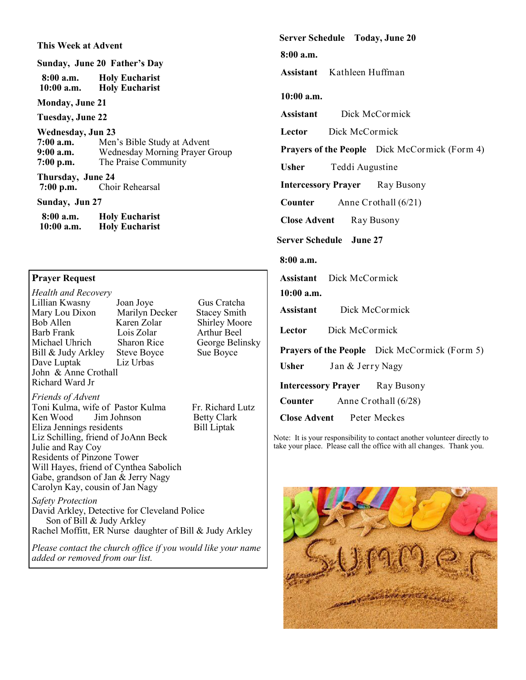**This Week at Advent Sunday, June 20 Father's Day 8:00 a.m. Holy Eucharist Holy Eucharist Monday, June 21 Tuesday, June 22 Wednesday, Jun 23**<br>**7:00 a.m.** Men **7:00 a.m.** Men's Bible Study at Advent<br>**9:00 a.m.** Wednesday Morning Prayer C **9:00 a.m.** Wednesday Morning Prayer Group **7:00 p.m.** The Praise Community **Thursday, June 24**<br>7:00 p.m. Choi *Choir Rehearsal* **Sunday, Jun 27 8:00 a.m. Holy Eucharist Holy Eucharist** 

## **Prayer Request**

*Health and Recovery* Lillian Kwasny Joan Joye Gus Cratcha Mary Lou Dixon Marilyn Dec<br>Bob Allen Karen Zolar Bob Allen Karen Zolar Shirley Moore<br>Barb Frank Lois Zolar Arthur Beel Michael Uhrich Sharon Rice George Belinsky<br>
Bill & Judy Arkley Steve Boyce Sue Boyce Bill & Judy Arkley Dave Luptak Liz Urbas John & Anne Crothall Richard Ward Jr

Arthur Beel

Toni Kulma, wife of Pastor Kulma Fr. Richard Lutz Ken Wood Jim Johnson Betty Clark<br>Eliza Jennings residents Bill Liptak

**Server Schedule Today, June 20**

**8:00 a.m.**

**Assistant** Kathleen Huffman

#### **10:00 a.m.**

**Assistant** Dick McCormick

**Lector** Dick McCormick

**Prayers of the People** Dick McCormick (Form 4)

**Usher** Teddi Augustine

**Intercessory Prayer** Ray Busony

**Counter** Anne Crothall (6/21)

**Close Advent Ray Busony** 

**Server Schedule June 27**

## **8:00 a.m.**

**Assistant** Dick McCormick

#### **10:00 a.m.**

**Assistant** Dick McCormick

Lector Dick McCormick

**Prayers of the People** Dick McCormick (Form 5)

**Usher** Jan & Jerry Nagy

**Intercessory Prayer** Ray Busony

**Counter** Anne Crothall (6/28)

**Close Advent** Peter Meckes

Note: It is your responsibility to contact another volunteer directly to take your place. Please call the office with all changes. Thank you.



*Safety Protection*

*Friends of Advent*

Julie and Ray Coy

Eliza Jennings residents

Residents of Pinzone Tower

Liz Schilling, friend of JoAnn Beck

Will Hayes, friend of Cynthea Sabolich Gabe, grandson of Jan & Jerry Nagy Carolyn Kay, cousin of Jan Nagy

David Arkley, Detective for Cleveland Police Son of Bill & Judy Arkley Rachel Moffitt, ER Nurse daughter of Bill & Judy Arkley

*Please contact the church office if you would like your name added or removed from our list.*